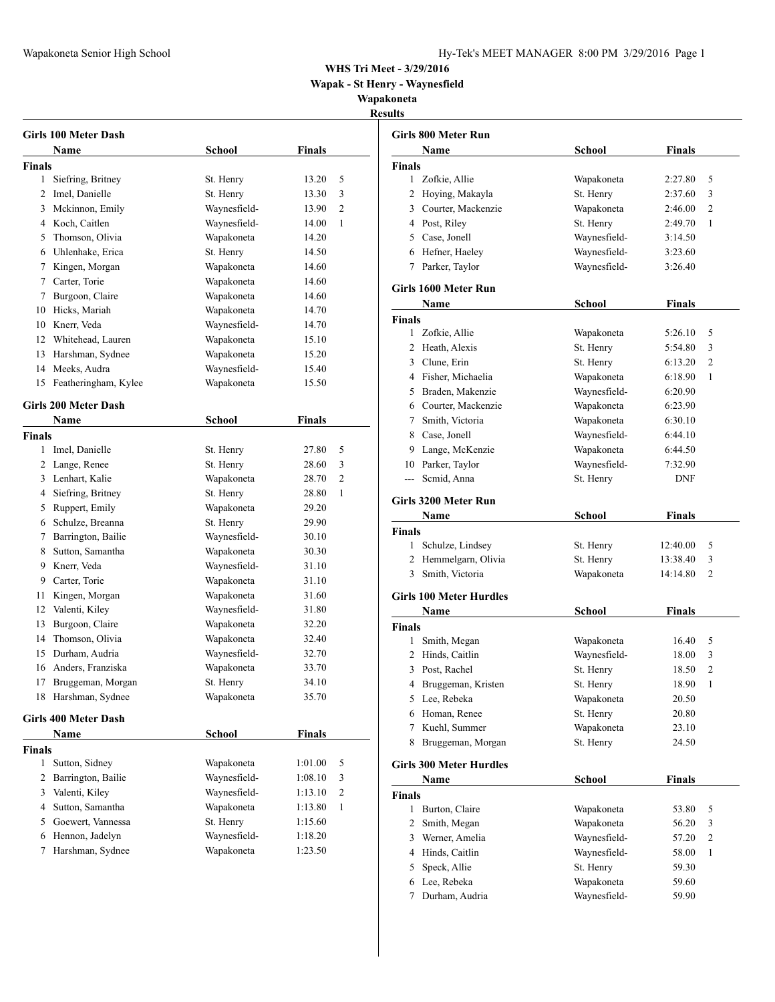**Wapak - St Henry - Waynesfield**

**Wapakoneta Results**

|                | Girls 100 Meter Dash        |               |               |   |
|----------------|-----------------------------|---------------|---------------|---|
|                | Name                        | <b>School</b> | <b>Finals</b> |   |
| <b>Finals</b>  |                             |               |               |   |
| 1              | Siefring, Britney           | St. Henry     | 13.20         | 5 |
| $\overline{2}$ | Imel, Danielle              | St. Henry     | 13.30         | 3 |
| 3              | Mckinnon, Emily             | Waynesfield-  | 13.90         | 2 |
|                | 4 Koch, Caitlen             | Waynesfield-  | 14.00         | 1 |
| 5              | Thomson, Olivia             | Wapakoneta    | 14.20         |   |
|                | 6 Uhlenhake, Erica          | St. Henry     | 14.50         |   |
| 7              | Kingen, Morgan              | Wapakoneta    | 14.60         |   |
|                | 7 Carter, Torie             | Wapakoneta    | 14.60         |   |
| 7              | Burgoon, Claire             | Wapakoneta    | 14.60         |   |
| 10             | Hicks, Mariah               | Wapakoneta    | 14.70         |   |
| 10             | Knerr, Veda                 | Waynesfield-  | 14.70         |   |
|                | 12 Whitehead, Lauren        | Wapakoneta    | 15.10         |   |
| 13             | Harshman, Sydnee            | Wapakoneta    | 15.20         |   |
| 14             | Meeks, Audra                | Waynesfield-  | 15.40         |   |
| 15             | Featheringham, Kylee        | Wapakoneta    |               |   |
|                |                             |               | 15.50         |   |
|                | <b>Girls 200 Meter Dash</b> |               |               |   |
|                | Name                        | <b>School</b> | <b>Finals</b> |   |
| <b>Finals</b>  |                             |               |               |   |
| 1              | Imel, Danielle              | St. Henry     | 27.80         | 5 |
|                | 2 Lange, Renee              | St. Henry     | 28.60         | 3 |
|                | 3 Lenhart, Kalie            | Wapakoneta    | 28.70         | 2 |
|                | 4 Siefring, Britney         | St. Henry     | 28.80         | 1 |
| 5              | Ruppert, Emily              | Wapakoneta    | 29.20         |   |
| 6              | Schulze, Breanna            | St. Henry     | 29.90         |   |
| 7              | Barrington, Bailie          | Waynesfield-  | 30.10         |   |
| 8              | Sutton, Samantha            | Wapakoneta    | 30.30         |   |
|                | 9 Knerr, Veda               | Waynesfield-  | 31.10         |   |
|                | 9 Carter, Torie             | Wapakoneta    | 31.10         |   |
| 11             | Kingen, Morgan              | Wapakoneta    | 31.60         |   |
| 12             | Valenti, Kiley              | Waynesfield-  | 31.80         |   |
| 13             | Burgoon, Claire             | Wapakoneta    | 32.20         |   |
| 14             | Thomson, Olivia             | Wapakoneta    | 32.40         |   |
| 15             | Durham. Audria              | Waynesfield-  | 32.70         |   |
| 16             | Anders, Franziska           | Wapakoneta    | 33.70         |   |
| 17             | Bruggeman, Morgan           | St. Henry     | 34.10         |   |
| 18             | Harshman, Sydnee            | Wapakoneta    | 35.70         |   |
|                |                             |               |               |   |
|                | <b>Girls 400 Meter Dash</b> |               |               |   |
|                | Name                        | School        | <b>Finals</b> |   |
| <b>Finals</b>  |                             |               |               |   |
| 1              | Sutton, Sidney              | Wapakoneta    | 1:01.00       | 5 |
| 2              | Barrington, Bailie          | Waynesfield-  | 1:08.10       | 3 |
| 3              | Valenti, Kiley              | Waynesfield-  | 1:13.10       | 2 |
| 4              | Sutton, Samantha            | Wapakoneta    | 1:13.80       | 1 |
| 5              | Goewert, Vannessa           | St. Henry     | 1:15.60       |   |
| 6              | Hennon, Jadelyn             | Waynesfield-  | 1:18.20       |   |
| 7              | Harshman, Sydnee            | Wapakoneta    | 1:23.50       |   |
|                |                             |               |               |   |

|                    | Girls 800 Meter Run            |               |               |                |
|--------------------|--------------------------------|---------------|---------------|----------------|
|                    | Name                           | <b>School</b> | <b>Finals</b> |                |
| Finals             |                                |               |               |                |
| 1                  | Zofkie, Allie                  | Wapakoneta    | 2:27.80       | 5              |
| 2                  | Hoying, Makayla                | St. Henry     | 2:37.60       | 3              |
|                    | 3 Courter, Mackenzie           | Wapakoneta    | 2:46.00       | 2              |
|                    | 4 Post, Riley                  | St. Henry     | 2:49.70       | 1              |
|                    | 5 Case, Jonell                 | Waynesfield-  | 3:14.50       |                |
|                    | 6 Hefner, Haeley               | Waynesfield-  | 3:23.60       |                |
|                    | 7 Parker, Taylor               | Waynesfield-  | 3:26.40       |                |
|                    | Girls 1600 Meter Run           |               |               |                |
|                    | Name                           | School        | Finals        |                |
| Finals             |                                |               |               |                |
| 1                  | Zofkie, Allie                  | Wapakoneta    | 5:26.10       | 5              |
| 2                  | Heath, Alexis                  | St. Henry     | 5:54.80       | 3              |
|                    | 3 Clune, Erin                  | St. Henry     | 6:13.20       | $\overline{2}$ |
|                    | 4 Fisher, Michaelia            | Wapakoneta    | 6:18.90       | 1              |
| 5                  | Braden, Makenzie               | Waynesfield-  | 6:20.90       |                |
|                    | 6 Courter, Mackenzie           | Wapakoneta    | 6:23.90       |                |
| 7                  | Smith, Victoria                | Wapakoneta    | 6:30.10       |                |
|                    | 8 Case, Jonell                 | Waynesfield-  | 6:44.10       |                |
|                    | 9 Lange, McKenzie              | Wapakoneta    | 6:44.50       |                |
|                    | 10 Parker, Taylor              | Waynesfield-  | 7:32.90       |                |
| $---$              | Scmid, Anna                    | St. Henry     | <b>DNF</b>    |                |
|                    | Girls 3200 Meter Run           |               |               |                |
|                    | Name                           | <b>School</b> | Finals        |                |
| Finals             |                                |               |               |                |
| 1                  | Schulze, Lindsey               | St. Henry     | 12:40.00      | 5              |
|                    | 2 Hemmelgarn, Olivia           | St. Henry     | 13:38.40      | 3              |
| 3                  | Smith, Victoria                | Wapakoneta    | 14:14.80      | $\overline{c}$ |
|                    | <b>Girls 100 Meter Hurdles</b> |               |               |                |
|                    | Name                           | <b>School</b> | Finals        |                |
| Finals             |                                |               |               |                |
| 1                  | Smith, Megan                   | Wapakoneta    | 16.40         | 5              |
|                    | 2 Hinds, Caitlin               | Waynesfield-  | 18.00         | 3              |
| 3                  | Post, Rachel                   | St. Henry     | 18.50         | $\overline{2}$ |
| 4                  | Bruggeman, Kristen             | St. Henry     | 18.90         | 1              |
| 5                  | Lee, Rebeka                    | Wapakoneta    | 20.50         |                |
| 6                  | Homan, Renee                   | St. Henry     | 20.80         |                |
| 7                  | Kuehl, Summer                  | Wapakoneta    | 23.10         |                |
| 8                  | Bruggeman, Morgan              | St. Henry     | 24.50         |                |
|                    |                                |               |               |                |
|                    | <b>Girls 300 Meter Hurdles</b> |               | <b>Finals</b> |                |
|                    | Name                           | School        |               |                |
| <b>Finals</b><br>1 | Burton, Claire                 | Wapakoneta    | 53.80         | 5              |
| 2                  | Smith, Megan                   | Wapakoneta    | 56.20         | 3              |
| 3                  | Werner, Amelia                 | Waynesfield-  | 57.20         | $\mathfrak{2}$ |
| 4                  | Hinds, Caitlin                 | Waynesfield-  | 58.00         | 1              |
| 5                  | Speck, Allie                   | St. Henry     | 59.30         |                |
| 6                  | Lee, Rebeka                    | Wapakoneta    | 59.60         |                |
| 7                  | Durham, Audria                 | Waynesfield-  | 59.90         |                |
|                    |                                |               |               |                |
|                    |                                |               |               |                |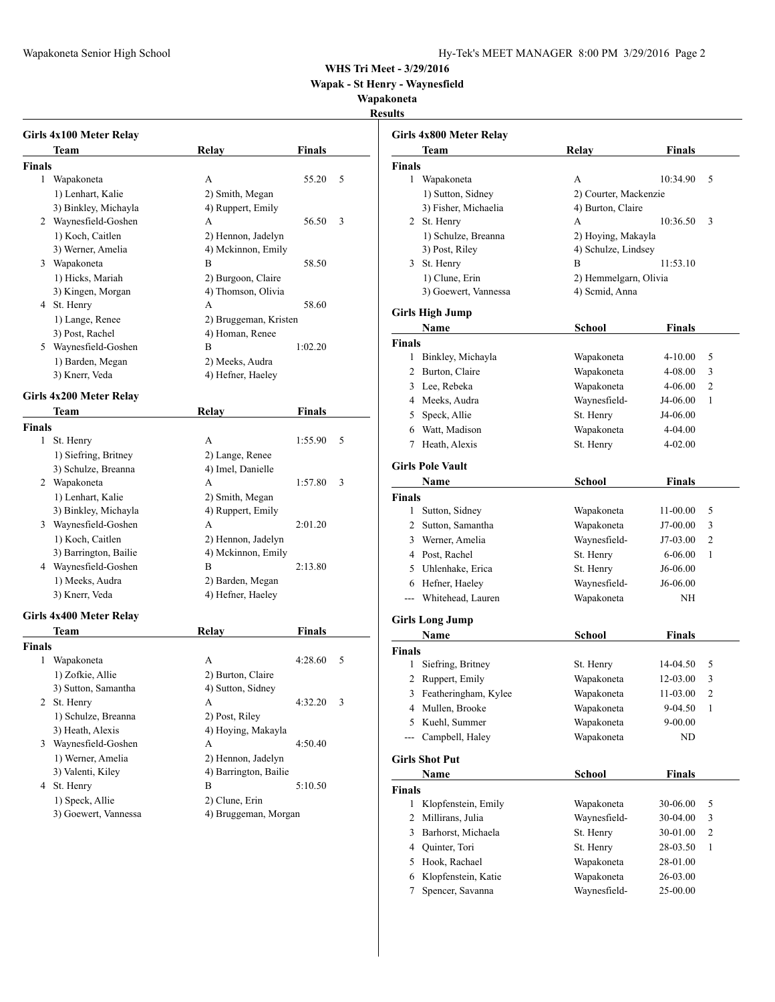**Wapak - St Henry - Waynesfield**

**Wapakoneta**

**Results**

|               | Girls 4x100 Meter Relay |                       |               |   |
|---------------|-------------------------|-----------------------|---------------|---|
|               | Team                    | <b>Relay</b>          | <b>Finals</b> |   |
| Finals        |                         |                       |               |   |
| 1             | Wapakoneta              | A                     | 55.20         | 5 |
|               | 1) Lenhart, Kalie       | 2) Smith, Megan       |               |   |
|               | 3) Binkley, Michayla    | 4) Ruppert, Emily     |               |   |
|               | 2 Waynesfield-Goshen    | A                     | 56.50         | 3 |
|               | 1) Koch, Caitlen        | 2) Hennon, Jadelyn    |               |   |
|               | 3) Werner, Amelia       | 4) Mckinnon, Emily    |               |   |
|               | 3 Wapakoneta            | В                     | 58.50         |   |
|               | 1) Hicks, Mariah        | 2) Burgoon, Claire    |               |   |
|               | 3) Kingen, Morgan       | 4) Thomson, Olivia    |               |   |
|               | 4 St. Henry             | A                     | 58.60         |   |
|               | 1) Lange, Renee         | 2) Bruggeman, Kristen |               |   |
|               | 3) Post, Rachel         | 4) Homan, Renee       |               |   |
|               | 5 Waynesfield-Goshen    | В                     | 1:02.20       |   |
|               | 1) Barden, Megan        | 2) Meeks, Audra       |               |   |
|               | 3) Knerr, Veda          | 4) Hefner, Haeley     |               |   |
|               |                         |                       |               |   |
|               | Girls 4x200 Meter Relay |                       |               |   |
|               | Team                    | Relay                 | Finals        |   |
| <b>Finals</b> |                         |                       |               |   |
| 1             | St. Henry               | A                     | 1:55.90       | 5 |
|               | 1) Siefring, Britney    | 2) Lange, Renee       |               |   |
|               | 3) Schulze, Breanna     | 4) Imel, Danielle     |               |   |
|               | 2 Wapakoneta            | A                     | 1:57.80       | 3 |
|               | 1) Lenhart, Kalie       | 2) Smith, Megan       |               |   |
|               | 3) Binkley, Michayla    | 4) Ruppert, Emily     |               |   |
|               | 3 Waynesfield-Goshen    | A                     | 2:01.20       |   |
|               | 1) Koch, Caitlen        | 2) Hennon, Jadelyn    |               |   |
|               | 3) Barrington, Bailie   | 4) Mckinnon, Emily    |               |   |
|               | 4 Waynesfield-Goshen    | В                     | 2:13.80       |   |
|               | 1) Meeks, Audra         | 2) Barden, Megan      |               |   |
|               | 3) Knerr, Veda          | 4) Hefner, Haeley     |               |   |
|               | Girls 4x400 Meter Relay |                       |               |   |
|               | Team                    | Relay                 | <b>Finals</b> |   |
| <b>Finals</b> |                         |                       |               |   |
| 1             | Wapakoneta              | A                     | 4:28.60       | 5 |
|               | 1) Zofkie, Allie        | 2) Burton, Claire     |               |   |
|               | 3) Sutton, Samantha     | 4) Sutton, Sidney     |               |   |
| 2             | St. Henry               | A                     | 4:32.20       | 3 |
|               | 1) Schulze, Breanna     | 2) Post, Riley        |               |   |
|               | 3) Heath, Alexis        | 4) Hoying, Makayla    |               |   |
| 3             | Waynesfield-Goshen      | A                     | 4:50.40       |   |
|               | 1) Werner, Amelia       | 2) Hennon, Jadelyn    |               |   |
|               | 3) Valenti, Kiley       | 4) Barrington, Bailie |               |   |
|               | 4 St. Henry             | B                     | 5:10.50       |   |
|               | 1) Speck, Allie         | 2) Clune, Erin        |               |   |
|               | 3) Goewert, Vannessa    | 4) Bruggeman, Morgan  |               |   |
|               |                         |                       |               |   |

|                | Girls 4x800 Meter Relay |                       |               |   |
|----------------|-------------------------|-----------------------|---------------|---|
|                | Team                    | Relay                 | <b>Finals</b> |   |
| Finals         |                         |                       |               |   |
| 1              | Wapakoneta              | А                     | 10:34.90      | 5 |
|                | 1) Sutton, Sidney       | 2) Courter, Mackenzie |               |   |
|                | 3) Fisher, Michaelia    | 4) Burton, Claire     |               |   |
|                | 2 St. Henry             | A                     | 10:36.50      | 3 |
|                | 1) Schulze, Breanna     | 2) Hoying, Makayla    |               |   |
|                | 3) Post, Riley          | 4) Schulze, Lindsey   |               |   |
| 3              | St. Henry               | B                     | 11:53.10      |   |
|                | 1) Clune, Erin          | 2) Hemmelgarn, Olivia |               |   |
|                | 3) Goewert, Vannessa    | 4) Scmid, Anna        |               |   |
|                | Girls High Jump         |                       |               |   |
|                | Name                    | School                | Finals        |   |
| Finals         |                         |                       |               |   |
| 1              | Binkley, Michayla       | Wapakoneta            | 4-10.00       | 5 |
| 2              | Burton, Claire          | Wapakoneta            | 4-08.00       | 3 |
| 3              | Lee, Rebeka             | Wapakoneta            | 4-06.00       | 2 |
| 4              | Meeks, Audra            | Waynesfield-          | J4-06.00      | 1 |
| 5              | Speck, Allie            | St. Henry             | J4-06.00      |   |
| 6              | Watt, Madison           | Wapakoneta            | 4-04.00       |   |
| 7              | Heath, Alexis           |                       |               |   |
|                |                         | St. Henry             | 4-02.00       |   |
|                | <b>Girls Pole Vault</b> |                       |               |   |
|                | Name                    | School                | Finals        |   |
| Finals         |                         |                       |               |   |
| 1              | Sutton, Sidney          | Wapakoneta            | 11-00.00      | 5 |
|                | 2 Sutton, Samantha      | Wapakoneta            | J7-00.00      | 3 |
| 3              | Werner, Amelia          | Waynesfield-          | $J7-03.00$    | 2 |
| 4              | Post, Rachel            | St. Henry             | 6-06.00       | 1 |
| 5              | Uhlenhake, Erica        | St. Henry             | J6-06.00      |   |
| 6              | Hefner, Haeley          | Waynesfield-          | J6-06.00      |   |
| $---$          | Whitehead, Lauren       | Wapakoneta            | ΝH            |   |
|                | <b>Girls Long Jump</b>  |                       |               |   |
|                | Name                    | <b>School</b>         | <b>Finals</b> |   |
| Finals         |                         |                       |               |   |
| 1              | Siefring, Britney       | St. Henry             | 14-04.50      | 5 |
| 2              | Ruppert, Emily          | Wapakoneta            | 12-03.00      | 3 |
| 3              | Featheringham, Kylee    | Wapakoneta            | 11-03.00      | 2 |
| $\overline{4}$ | Mullen, Brooke          | Wapakoneta            | 9-04.50       | 1 |
| 5              | Kuehl, Summer           | Wapakoneta            | $9 - 00.00$   |   |
| $\overline{a}$ | Campbell, Haley         | Wapakoneta            | ND            |   |
|                |                         |                       |               |   |
|                | <b>Girls Shot Put</b>   |                       |               |   |
|                | Name                    | School                | <b>Finals</b> |   |
| Finals         |                         |                       |               |   |
| 1              | Klopfenstein, Emily     | Wapakoneta            | 30-06.00      | 5 |
| $\mathbf{2}$   | Millirans, Julia        | Waynesfield-          | 30-04.00      | 3 |
| 3              | Barhorst, Michaela      | St. Henry             | 30-01.00      | 2 |
| 4              | Quinter, Tori           | St. Henry             | 28-03.50      | 1 |
| 5              | Hook, Rachael           | Wapakoneta            | 28-01.00      |   |
| 6              | Klopfenstein, Katie     | Wapakoneta            | 26-03.00      |   |
| 7              | Spencer, Savanna        | Waynesfield-          | 25-00.00      |   |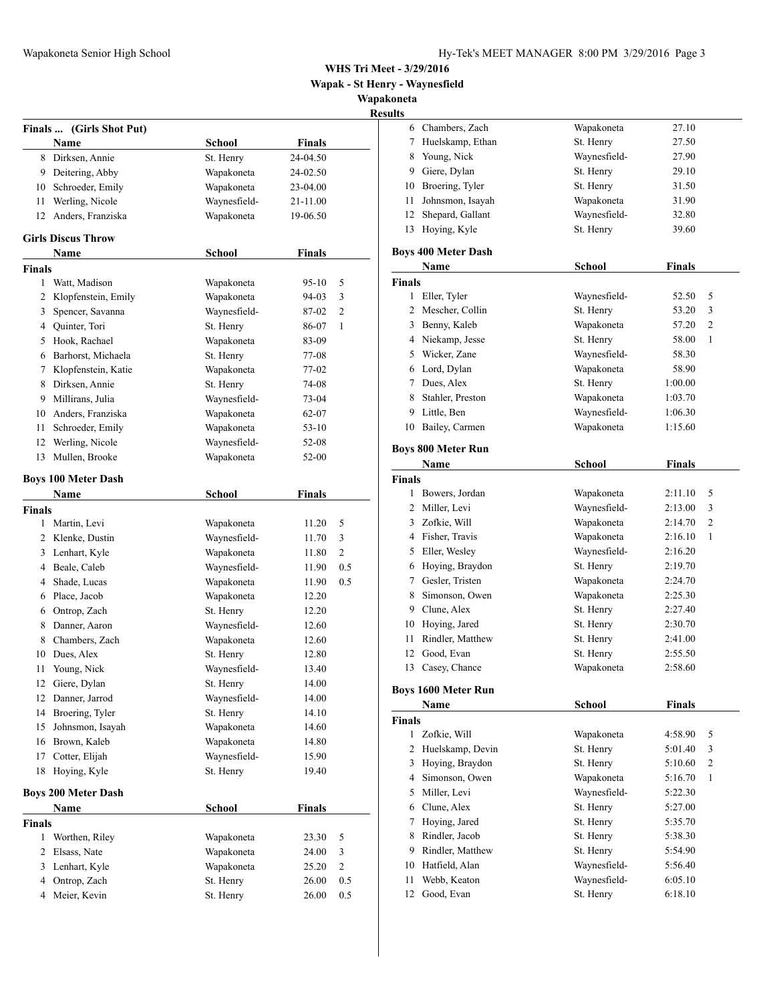**Wapak - St Henry - Waynesfield**

**Wapakoneta**

# **Results**

|                | Finals  (Girls Shot Put)   |               |               |                |
|----------------|----------------------------|---------------|---------------|----------------|
|                | Name                       | <b>School</b> | <b>Finals</b> |                |
| 8              | Dirksen, Annie             | St. Henry     | 24-04.50      |                |
| 9              | Deitering, Abby            | Wapakoneta    | 24-02.50      |                |
| 10             | Schroeder, Emily           | Wapakoneta    | 23-04.00      |                |
| 11             | Werling, Nicole            | Waynesfield-  | 21-11.00      |                |
| 12             | Anders, Franziska          | Wapakoneta    | 19-06.50      |                |
|                | <b>Girls Discus Throw</b>  |               |               |                |
|                | Name                       | <b>School</b> | <b>Finals</b> |                |
| Finals         |                            |               |               |                |
| 1              | Watt, Madison              | Wapakoneta    | 95-10         | 5              |
| 2              | Klopfenstein, Emily        | Wapakoneta    | 94-03         | 3              |
| 3              | Spencer, Savanna           | Waynesfield-  | 87-02         | 2              |
| 4              | Quinter, Tori              | St. Henry     | 86-07         | 1              |
| 5              | Hook, Rachael              | Wapakoneta    | 83-09         |                |
| 6              | Barhorst, Michaela         | St. Henry     | 77-08         |                |
| 7              | Klopfenstein, Katie        | Wapakoneta    | 77-02         |                |
| 8              | Dirksen, Annie             | St. Henry     | 74-08         |                |
| 9              | Millirans, Julia           | Waynesfield-  | 73-04         |                |
| 10             | Anders, Franziska          | Wapakoneta    | 62-07         |                |
| 11             | Schroeder, Emily           | Wapakoneta    | 53-10         |                |
| 12             | Werling, Nicole            | Waynesfield-  | 52-08         |                |
| 13             | Mullen, Brooke             | Wapakoneta    | 52-00         |                |
|                | <b>Boys 100 Meter Dash</b> |               |               |                |
|                | Name                       | <b>School</b> | <b>Finals</b> |                |
| Finals         |                            |               |               |                |
| 1              | Martin, Levi               | Wapakoneta    | 11.20         | 5              |
| 2              | Klenke, Dustin             | Waynesfield-  | 11.70         | 3              |
| 3              | Lenhart, Kyle              | Wapakoneta    | 11.80         | 2              |
| 4              | Beale, Caleb               | Waynesfield-  | 11.90         | 0.5            |
| 4              | Shade, Lucas               | Wapakoneta    | 11.90         | 0.5            |
| 6              | Place, Jacob               | Wapakoneta    | 12.20         |                |
| 6              | Ontrop, Zach               | St. Henry     | 12.20         |                |
| 8              | Danner, Aaron              | Waynesfield-  | 12.60         |                |
| 8              | Chambers, Zach             | Wapakoneta    | 12.60         |                |
| 10             | Dues, Alex                 | St. Henry     | 12.80         |                |
| 11             | Young, Nick                | Waynesfield-  | 13.40         |                |
| 12             | Giere, Dylan               | St. Henry     | 14.00         |                |
| 12             | Danner, Jarrod             | Waynesfield-  | 14.00         |                |
| 14             | Broering, Tyler            | St. Henry     | 14.10         |                |
| 15             | Johnsmon, Isayah           | Wapakoneta    | 14.60         |                |
| 16             | Brown, Kaleb               | Wapakoneta    | 14.80         |                |
| 17             | Cotter, Elijah             | Waynesfield-  | 15.90         |                |
| 18             | Hoying, Kyle               | St. Henry     | 19.40         |                |
|                | <b>Boys 200 Meter Dash</b> |               |               |                |
|                | Name                       | School        | Finals        |                |
| Finals         |                            |               |               |                |
| $\mathbf{1}$   | Worthen, Riley             | Wapakoneta    | 23.30         | 5              |
| $\overline{2}$ | Elsass, Nate               | Wapakoneta    | 24.00         | 3              |
| 3              | Lenhart, Kyle              | Wapakoneta    | 25.20         | $\mathfrak{2}$ |
| 4              | Ontrop, Zach               | St. Henry     | 26.00         | 0.5            |
| 4              | Meier, Kevin               | St. Henry     | 26.00         | 0.5            |

|               | 6 Chambers, Zach           | Wapakoneta    | 27.10         |                |
|---------------|----------------------------|---------------|---------------|----------------|
| 7             | Huelskamp, Ethan           | St. Henry     | 27.50         |                |
| 8             | Young, Nick                | Waynesfield-  | 27.90         |                |
|               | 9 Giere, Dylan             | St. Henry     | 29.10         |                |
|               | 10 Broering, Tyler         | St. Henry     | 31.50         |                |
| 11            | Johnsmon, Isayah           | Wapakoneta    | 31.90         |                |
| 12            | Shepard, Gallant           | Waynesfield-  | 32.80         |                |
| 13            | Hoying, Kyle               | St. Henry     | 39.60         |                |
|               |                            |               |               |                |
|               | <b>Boys 400 Meter Dash</b> |               | <b>Finals</b> |                |
| Finals        | <b>Name</b>                | <b>School</b> |               |                |
| 1             | Eller, Tyler               | Waynesfield-  | 52.50         | 5              |
| 2             | Mescher, Collin            |               |               | 3              |
|               |                            | St. Henry     | 53.20         |                |
| 3             | Benny, Kaleb               | Wapakoneta    | 57.20         | 2              |
| 4             | Niekamp, Jesse             | St. Henry     | 58.00         | 1              |
| 5             | Wicker, Zane               | Waynesfield-  | 58.30         |                |
|               | 6 Lord, Dylan              | Wapakoneta    | 58.90         |                |
| 7             | Dues, Alex                 | St. Henry     | 1:00.00       |                |
| 8             | Stahler, Preston           | Wapakoneta    | 1:03.70       |                |
| 9             | Little, Ben                | Waynesfield-  | 1:06.30       |                |
| 10            | Bailey, Carmen             | Wapakoneta    | 1:15.60       |                |
|               | <b>Boys 800 Meter Run</b>  |               |               |                |
|               | Name                       | <b>School</b> | <b>Finals</b> |                |
| <b>Finals</b> |                            |               |               |                |
| 1             | Bowers, Jordan             | Wapakoneta    | 2:11.10       | 5              |
| 2             | Miller, Levi               | Waynesfield-  | 2:13.00       | 3              |
| 3             | Zofkie, Will               | Wapakoneta    | 2:14.70       | 2              |
|               | 4 Fisher, Travis           | Wapakoneta    | 2:16.10       | 1              |
| 5             | Eller, Wesley              | Waynesfield-  | 2:16.20       |                |
| 6             | Hoying, Braydon            | St. Henry     | 2:19.70       |                |
|               | 7 Gesler, Tristen          | Wapakoneta    | 2:24.70       |                |
| 8             | Simonson, Owen             | Wapakoneta    | 2:25.30       |                |
|               | 9 Clune, Alex              | St. Henry     | 2:27.40       |                |
| 10            | Hoying, Jared              | St. Henry     | 2:30.70       |                |
| 11            | Rindler, Matthew           | St. Henry     | 2:41.00       |                |
| 12            | Good, Evan                 | St. Henry     | 2:55.50       |                |
| 13            | Casey, Chance              | Wapakoneta    | 2:58.60       |                |
|               |                            |               |               |                |
|               | <b>Boys 1600 Meter Run</b> |               |               |                |
|               | Name                       | <b>School</b> | <b>Finals</b> |                |
| <b>Finals</b> |                            |               |               |                |
| 1             | Zofkie, Will               | Wapakoneta    | 4:58.90       | 5              |
| 2             | Huelskamp, Devin           | St. Henry     | 5:01.40       | 3              |
| 3             | Hoying, Braydon            | St. Henry     | 5:10.60       | $\overline{c}$ |
| 4             | Simonson, Owen             | Wapakoneta    | 5:16.70       | 1              |
| 5             | Miller, Levi               | Waynesfield-  | 5:22.30       |                |
| 6             | Clune, Alex                | St. Henry     | 5:27.00       |                |
| 7             | Hoying, Jared              | St. Henry     | 5:35.70       |                |
| 8             | Rindler, Jacob             | St. Henry     | 5:38.30       |                |
| 9             | Rindler, Matthew           | St. Henry     | 5:54.90       |                |
| 10            | Hatfield, Alan             | Waynesfield-  | 5:56.40       |                |
| 11            | Webb, Keaton               | Waynesfield-  | 6:05.10       |                |
| 12            | Good, Evan                 | St. Henry     | 6:18.10       |                |
|               |                            |               |               |                |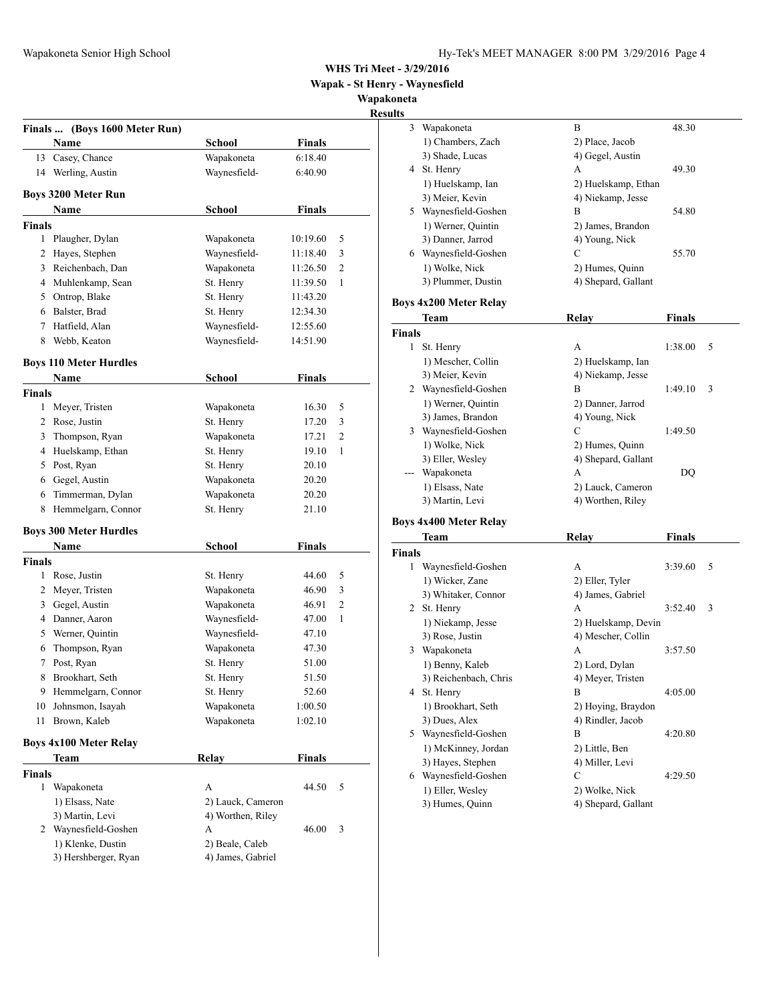**Wapak - St Henry - Waynesfield**

**Wapakoneta**

## **Result Finals ... (Boys 1600 Meter Run) Name School Finals** 13 Casey, Chance Wapakoneta 6:18.40 14 Werling, Austin Waynesfield- 6:40.90 **Boys 3200 Meter Run Name** School **Finals Finals** 1 Plaugher, Dylan Wapakoneta 10:19.60 5 2 Hayes, Stephen Waynesfield- 11:18.40 3 3 Reichenbach, Dan Wapakoneta 11:26.50 2 4 Muhlenkamp, Sean St. Henry 11:39.50 1 5 Ontrop, Blake St. Henry 11:43.20 6 Balster, Brad St. Henry 12:34.30 7 Hatfield, Alan Waynesfield- 12:55.60 8 Webb, Keaton Waynesfield- 14:51.90 **Boys 110 Meter Hurdles Name School Finals Finals** 1 Meyer, Tristen Wapakoneta 16.30 5 2 Rose, Justin St. Henry 17.20 3 3 Thompson, Ryan Wapakoneta 17.21 2 4 Huelskamp, Ethan St. Henry 19.10 1 5 Post, Ryan St. Henry 20.10 6 Gegel, Austin Wapakoneta 20.20 6 Timmerman, Dylan Wapakoneta 20.20 8 Hemmelgarn, Connor St. Henry 21.10 **Boys 300 Meter Hurdles Name School Finals Finals** 1 Rose, Justin St. Henry 44.60 5 2 Meyer, Tristen Wapakoneta 46.90 3 3 Gegel, Austin Wapakoneta 46.91 2 4 Danner, Aaron Waynesfield- 47.00 1 5 Werner, Quintin Waynesfield- 47.10 6 Thompson, Ryan Wapakoneta 47.30 7 Post, Ryan St. Henry 51.00 8 Brookhart, Seth St. Henry 51.50 9 Hemmelgarn, Connor St. Henry 52.60 10 Johnsmon, Isayah Wapakoneta 1:00.50 11 Brown, Kaleb Wapakoneta 1:02.10 **Boys 4x100 Meter Relay Team Relay Finals Finals** 1 Wapakoneta A 44.50 5 1) Elsass, Nate 2) Lauck, Cameron 3) Martin, Levi 4) Worthen, Riley 2 Waynesfield-Goshen A 46.00 3 1) Klenke, Dustin 2) Beale, Caleb 3) Hershberger, Ryan 4) James, Gabriel

| 3                  | Wapakoneta                          | B                                     | 48.30         |   |
|--------------------|-------------------------------------|---------------------------------------|---------------|---|
|                    | 1) Chambers, Zach                   | 2) Place, Jacob                       |               |   |
|                    | 3) Shade, Lucas                     | 4) Gegel, Austin                      |               |   |
|                    | 4 St. Henry                         | А                                     | 49.30         |   |
|                    | 1) Huelskamp, Ian                   | 2) Huelskamp, Ethan                   |               |   |
|                    | 3) Meier, Kevin                     | 4) Niekamp, Jesse                     |               |   |
|                    | 5 Waynesfield-Goshen                | B                                     | 54.80         |   |
|                    | 1) Werner, Quintin                  | 2) James, Brandon                     |               |   |
|                    | 3) Danner, Jarrod                   | 4) Young, Nick                        |               |   |
|                    | 6 Waynesfield-Goshen                | C                                     | 55.70         |   |
|                    | 1) Wolke, Nick                      | 2) Humes, Quinn                       |               |   |
|                    | 3) Plummer, Dustin                  | 4) Shepard, Gallant                   |               |   |
|                    | <b>Boys 4x200 Meter Relay</b>       |                                       |               |   |
|                    | Team                                | Relay                                 | Finals        |   |
|                    |                                     |                                       |               |   |
| <b>Finals</b><br>1 |                                     | A                                     |               |   |
|                    | St. Henry                           |                                       | 1:38.00       | 5 |
|                    | 1) Mescher, Collin                  | 2) Huelskamp, Ian                     |               |   |
|                    | 3) Meier, Kevin                     | 4) Niekamp, Jesse                     |               |   |
|                    | 2 Waynesfield-Goshen                | B                                     | 1:49.10       | 3 |
|                    | 1) Werner, Quintin                  | 2) Danner, Jarrod                     |               |   |
|                    | 3) James, Brandon                   | 4) Young, Nick                        |               |   |
|                    | 3 Waynesfield-Goshen                | C                                     | 1:49.50       |   |
|                    | 1) Wolke, Nick                      | 2) Humes, Quinn                       |               |   |
|                    | 3) Eller, Wesley                    | 4) Shepard, Gallant                   |               |   |
|                    | Wapakoneta                          | А                                     | DQ            |   |
|                    | 1) Elsass, Nate                     | 2) Lauck, Cameron                     |               |   |
|                    | 3) Martin, Levi                     | 4) Worthen, Riley                     |               |   |
|                    |                                     |                                       |               |   |
|                    | <b>Boys 4x400 Meter Relay</b>       |                                       |               |   |
|                    | Team                                | Relay                                 | <b>Finals</b> |   |
|                    |                                     |                                       |               |   |
| 1                  |                                     | A                                     | 3:39.60       | 5 |
|                    | Waynesfield-Goshen                  |                                       |               |   |
|                    | 1) Wicker, Zane                     | 2) Eller, Tyler                       |               |   |
|                    | 3) Whitaker, Connor                 | 4) James, Gabriel<br>А                | 3:52.40       | 3 |
|                    | 2 St. Henry                         |                                       |               |   |
|                    | 1) Niekamp, Jesse                   | 2) Huelskamp, Devin                   |               |   |
|                    | 3) Rose, Justin                     | 4) Mescher, Collin                    |               |   |
|                    | 3 Wapakoneta                        | A                                     | 3:57.50       |   |
|                    | 1) Benny, Kaleb                     | 2) Lord, Dylan                        |               |   |
|                    | 3) Reichenbach, Chris               | 4) Meyer, Tristen                     |               |   |
|                    | 4 St. Henry                         | B                                     | 4:05.00       |   |
|                    | 1) Brookhart, Seth                  | 2) Hoying, Braydon                    |               |   |
|                    | 3) Dues, Alex                       | 4) Rindler, Jacob                     |               |   |
|                    | 5 Waynesfield-Goshen                | B                                     | 4:20.80       |   |
|                    | 1) McKinney, Jordan                 | 2) Little, Ben                        |               |   |
|                    | 3) Hayes, Stephen                   | 4) Miller, Levi                       |               |   |
| <b>Finals</b>      | 6 Waynesfield-Goshen                | С                                     | 4:29.50       |   |
|                    | 1) Eller, Wesley<br>3) Humes, Quinn | 2) Wolke, Nick<br>4) Shepard, Gallant |               |   |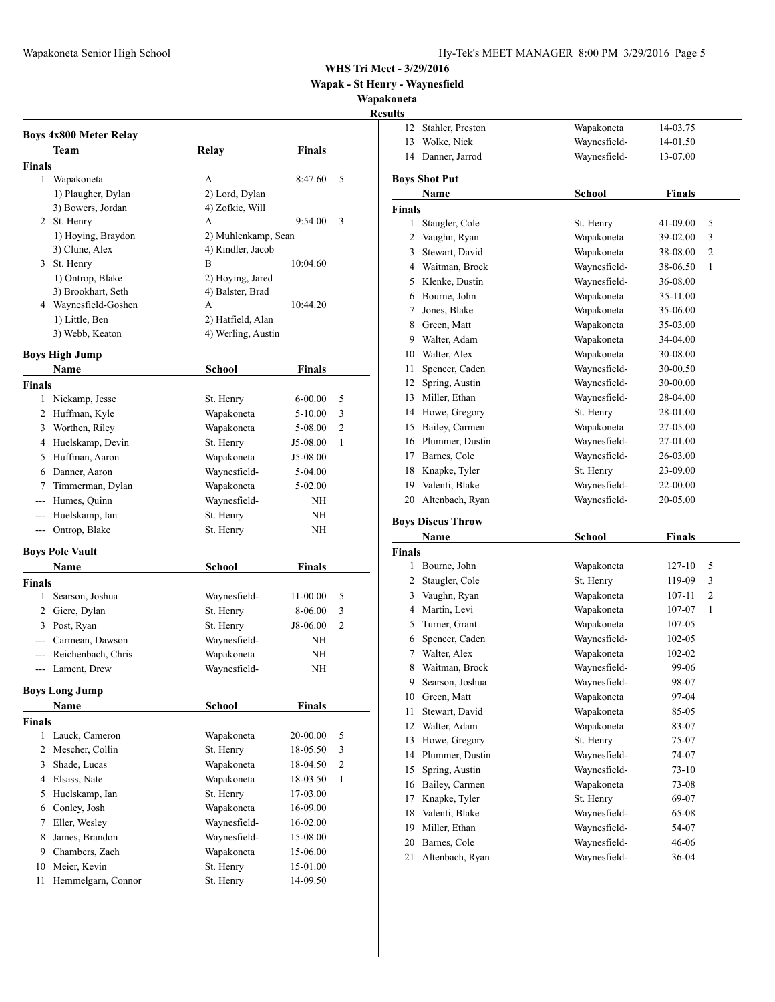**Wapak - St Henry - Waynesfield**

**Wapakoneta**

#### **Results**

|               | <b>Boys 4x800 Meter Relay</b> |                     |               |                |
|---------------|-------------------------------|---------------------|---------------|----------------|
|               | Team                          | Relay               | Finals        |                |
| <b>Finals</b> |                               |                     |               |                |
|               | 1 Wapakoneta                  | A                   | 8:47.60       | 5              |
|               | 1) Plaugher, Dylan            | 2) Lord, Dylan      |               |                |
|               | 3) Bowers, Jordan             | 4) Zofkie, Will     |               |                |
|               | 2 St. Henry                   | A                   | 9:54.00       | 3              |
|               | 1) Hoying, Braydon            | 2) Muhlenkamp, Sean |               |                |
|               | 3) Clune, Alex                | 4) Rindler, Jacob   |               |                |
|               | 3 St. Henry                   | B                   | 10:04.60      |                |
|               | 1) Ontrop, Blake              | 2) Hoying, Jared    |               |                |
|               | 3) Brookhart, Seth            | 4) Balster, Brad    |               |                |
|               | 4 Waynesfield-Goshen          | A                   | 10:44.20      |                |
|               | 1) Little, Ben                | 2) Hatfield, Alan   |               |                |
|               | 3) Webb, Keaton               | 4) Werling, Austin  |               |                |
|               | <b>Boys High Jump</b>         |                     |               |                |
|               | <b>Name</b>                   | School              | Finals        |                |
| <b>Finals</b> |                               |                     |               |                |
|               | 1 Niekamp, Jesse              | St. Henry           | $6 - 00.00$   | 5              |
|               | 2 Huffman, Kyle               | Wapakoneta          | $5 - 10.00$   | 3              |
|               | 3 Worthen, Riley              | Wapakoneta          | 5-08.00       | 2              |
|               | 4 Huelskamp, Devin            | St. Henry           | $J5-08.00$    | 1              |
|               | 5 Huffman, Aaron              | Wapakoneta          | $J5-08.00$    |                |
|               | 6 Danner, Aaron               | Waynesfield-        | 5-04.00       |                |
| 7             | Timmerman, Dylan              | Wapakoneta          | 5-02.00       |                |
|               | --- Humes, Quinn              | Waynesfield-        | NH            |                |
|               | --- Huelskamp, Ian            | St. Henry           | NΗ            |                |
| ---           | Ontrop, Blake                 | St. Henry           | NΗ            |                |
|               | <b>Boys Pole Vault</b>        |                     |               |                |
|               | Name                          | School              | Finals        |                |
| <b>Finals</b> |                               |                     |               |                |
|               | 1 Searson, Joshua             | Waynesfield-        | 11-00.00      | 5              |
|               | 2 Giere, Dylan                | St. Henry           | 8-06.00       | 3              |
|               | 3 Post, Ryan                  | St. Henry           | J8-06.00      | 2              |
|               | --- Carmean, Dawson           | Waynesfield-        | NΗ            |                |
|               | --- Reichenbach, Chris        | Wapakoneta          | NΗ            |                |
|               | --- Lament, Drew              | Waynesfield-        | NH            |                |
|               | Boys Long Jump                |                     |               |                |
|               | Name                          | School              | <b>Finals</b> |                |
| <b>Finals</b> |                               |                     |               |                |
| 1             | Lauck, Cameron                | Wapakoneta          | 20-00.00      | 5              |
| 2             | Mescher, Collin               | St. Henry           | 18-05.50      | 3              |
| 3             | Shade, Lucas                  | Wapakoneta          | 18-04.50      | $\overline{2}$ |
| 4             | Elsass, Nate                  | Wapakoneta          | 18-03.50      | $\mathbf{1}$   |
| 5             | Huelskamp, Ian                | St. Henry           | 17-03.00      |                |
| 6             | Conley, Josh                  | Wapakoneta          | 16-09.00      |                |
| 7             | Eller, Wesley                 | Waynesfield-        | 16-02.00      |                |
| 8             | James, Brandon                | Waynesfield-        | 15-08.00      |                |
| 9             | Chambers, Zach                | Wapakoneta          | 15-06.00      |                |
| 10            | Meier, Kevin                  | St. Henry           | 15-01.00      |                |
| 11            | Hemmelgarn, Connor            | St. Henry           | 14-09.50      |                |
|               |                               |                     |               |                |

| 12             | Stahler, Preston                | Wapakoneta                   | 14-03.75       |   |
|----------------|---------------------------------|------------------------------|----------------|---|
| 13             | Wolke, Nick                     | Waynesfield-                 | 14-01.50       |   |
| 14             | Danner, Jarrod                  | Waynesfield-                 | 13-07.00       |   |
|                |                                 |                              |                |   |
|                | <b>Boys Shot Put</b><br>Name    | <b>School</b>                | <b>Finals</b>  |   |
| Finals         |                                 |                              |                |   |
| 1              | Staugler, Cole                  | St. Henry                    | 41-09.00       | 5 |
| $\overline{2}$ | Vaughn, Ryan                    | Wapakoneta                   | 39-02.00       | 3 |
| 3              | Stewart, David                  | Wapakoneta                   | 38-08.00       | 2 |
| 4              | Waitman, Brock                  | Waynesfield-                 | 38-06.50       | 1 |
| 5              | Klenke, Dustin                  | Waynesfield-                 | 36-08.00       |   |
| 6              | Bourne, John                    | Wapakoneta                   | 35-11.00       |   |
| 7              | Jones, Blake                    | Wapakoneta                   | 35-06.00       |   |
| 8              | Green, Matt                     | Wapakoneta                   | 35-03.00       |   |
| 9              | Walter, Adam                    | Wapakoneta                   | 34-04.00       |   |
|                | 10 Walter, Alex                 | Wapakoneta                   | 30-08.00       |   |
| 11             | Spencer, Caden                  | Waynesfield-                 | 30-00.50       |   |
|                | 12 Spring, Austin               | Waynesfield-                 | 30-00.00       |   |
| 13             | Miller, Ethan                   | Waynesfield-                 | 28-04.00       |   |
|                | 14 Howe, Gregory                | St. Henry                    | 28-01.00       |   |
| 15             | Bailey, Carmen                  | Wapakoneta                   | 27-05.00       |   |
|                | 16 Plummer, Dustin              | Waynesfield-                 | 27-01.00       |   |
| 17             | Barnes, Cole                    | Waynesfield-                 | 26-03.00       |   |
| 18             | Knapke, Tyler                   | St. Henry                    | 23-09.00       |   |
| 19             | Valenti, Blake                  | Waynesfield-                 | 22-00.00       |   |
|                |                                 |                              |                |   |
|                |                                 |                              |                |   |
| 20             | Altenbach, Ryan                 | Waynesfield-                 | 20-05.00       |   |
|                | <b>Boys Discus Throw</b>        |                              |                |   |
|                | Name                            | School                       | <b>Finals</b>  |   |
| <b>Finals</b>  |                                 |                              |                |   |
|                | 1 Bourne, John                  | Wapakoneta                   | 127-10         | 5 |
| 2              | Staugler, Cole                  | St. Henry                    | 119-09         | 3 |
| 3              | Vaughn, Ryan                    | Wapakoneta                   | 107-11         | 2 |
| 4              | Martin, Levi                    | Wapakoneta                   | 107-07         | 1 |
| 5              | Turner, Grant                   | Wapakoneta                   | 107-05         |   |
| 6              | Spencer, Caden                  | Waynesfield-                 | 102-05         |   |
| 7              | Walter, Alex                    | Wapakoneta                   | 102-02         |   |
| 8              | Waitman, Brock                  | Waynesfield-                 | 99-06          |   |
| 9.             | Searson, Joshua                 | Waynesfield-                 | 98-07          |   |
| 10             | Green, Matt                     | Wapakoneta                   | 97-04          |   |
| 11             | Stewart, David                  | Wapakoneta                   | 85-05          |   |
| 12             | Walter, Adam                    | Wapakoneta                   | 83-07          |   |
| 13             | Howe, Gregory                   | St. Henry                    | 75-07          |   |
| 14             | Plummer, Dustin                 | Waynesfield-                 | 74-07          |   |
| 15             | Spring, Austin                  | Waynesfield-                 | 73-10          |   |
| 16             | Bailey, Carmen                  | Wapakoneta                   | 73-08          |   |
| 17             | Knapke, Tyler                   | St. Henry                    | 69-07          |   |
| 18             | Valenti, Blake                  | Waynesfield-                 | 65-08          |   |
| 19             | Miller, Ethan                   | Waynesfield-                 | 54-07          |   |
| 20<br>21       | Barnes, Cole<br>Altenbach, Ryan | Waynesfield-<br>Waynesfield- | 46-06<br>36-04 |   |